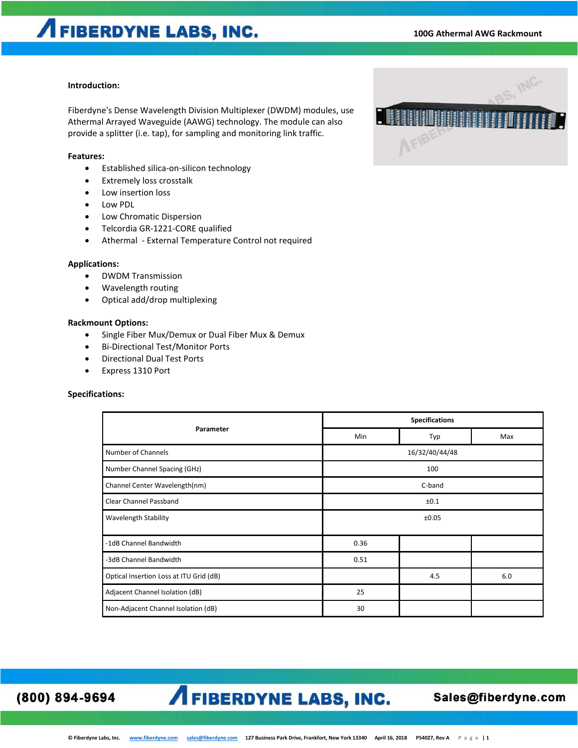#### **Introduction:**

Fiberdyne's Dense Wavelength Division Multiplexer (DWDM) modules, use Athermal Arrayed Waveguide (AAWG) technology. The module can also provide a splitter (i.e. tap), for sampling and monitoring link traffic.

#### **Features:**

- Established silica-on-silicon technology
- Extremely loss crosstalk
- Low insertion loss
- Low PDL
- Low Chromatic Dispersion
- Telcordia GR-1221-CORE qualified
- Athermal External Temperature Control not required

#### **Applications:**

- DWDM Transmission
- Wavelength routing
- Optical add/drop multiplexing

#### **Rackmount Options:**

- Single Fiber Mux/Demux or Dual Fiber Mux & Demux
- Bi-Directional Test/Monitor Ports
- Directional Dual Test Ports
- Express 1310 Port

#### **Specifications:**

| Parameter                               | <b>Specifications</b> |     |     |
|-----------------------------------------|-----------------------|-----|-----|
|                                         | Min                   | Typ | Max |
| Number of Channels                      | 16/32/40/44/48        |     |     |
| Number Channel Spacing (GHz)            | 100                   |     |     |
| Channel Center Wavelength(nm)           | C-band                |     |     |
| Clear Channel Passband                  | ±0.1                  |     |     |
| <b>Wavelength Stability</b>             | ±0.05                 |     |     |
| -1dB Channel Bandwidth                  | 0.36                  |     |     |
| -3dB Channel Bandwidth                  | 0.51                  |     |     |
| Optical Insertion Loss at ITU Grid (dB) |                       | 4.5 | 6.0 |
| Adjacent Channel Isolation (dB)         | 25                    |     |     |
| Non-Adjacent Channel Isolation (dB)     | 30                    |     |     |

(800) 894-9694

## **A FIBERDYNE LABS, INC.**

### Sales@fiberdyne.com